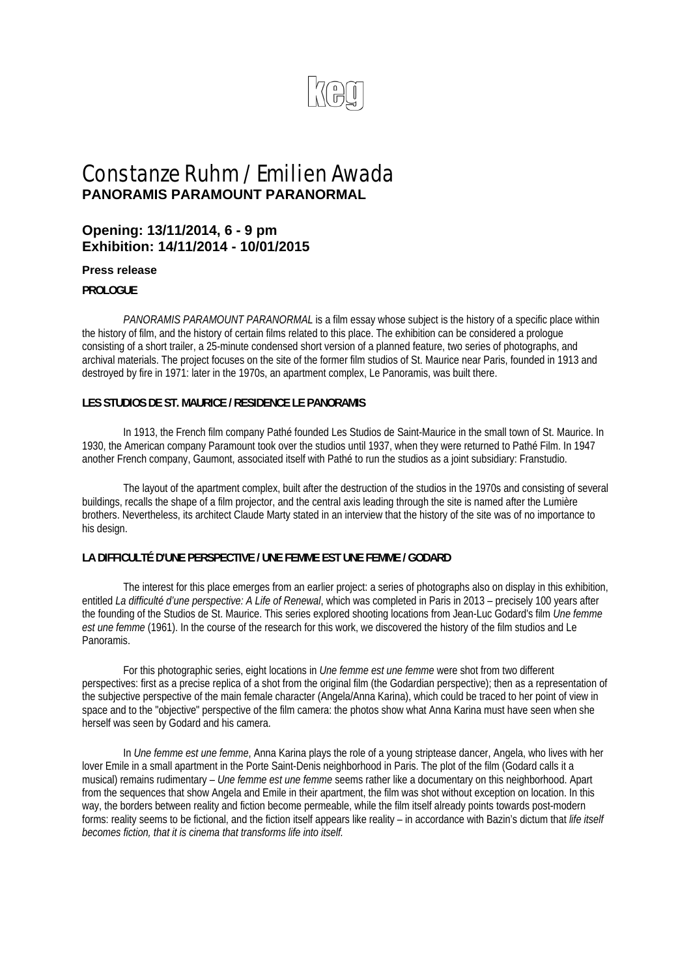

# Constanze Ruhm / Emilien Awada **PANORAMIS PARAMOUNT PARANORMAL**

# **Opening: 13/11/2014, 6 - 9 pm Exhibition: 14/11/2014 - 10/01/2015**

#### **Press release**

#### **PROLOGUE**

 *PANORAMIS PARAMOUNT PARANORMAL* is a film essay whose subject is the history of a specific place within the history of film, and the history of certain films related to this place. The exhibition can be considered a prologue consisting of a short trailer, a 25-minute condensed short version of a planned feature, two series of photographs, and archival materials. The project focuses on the site of the former film studios of St. Maurice near Paris, founded in 1913 and destroyed by fire in 1971: later in the 1970s, an apartment complex, Le Panoramis, was built there.

#### **LES STUDIOS DE ST. MAURICE / RESIDENCE LE PANORAMIS**

 In 1913, the French film company Pathé founded Les Studios de Saint-Maurice in the small town of St. Maurice. In 1930, the American company Paramount took over the studios until 1937, when they were returned to Pathé Film. In 1947 another French company, Gaumont, associated itself with Pathé to run the studios as a joint subsidiary: Franstudio.

 The layout of the apartment complex, built after the destruction of the studios in the 1970s and consisting of several buildings, recalls the shape of a film projector, and the central axis leading through the site is named after the Lumière brothers. Nevertheless, its architect Claude Marty stated in an interview that the history of the site was of no importance to his design.

#### **LA DIFFICULTÉ D'UNE PERSPECTIVE / UNE FEMME EST UNE FEMME / GODARD**

 The interest for this place emerges from an earlier project: a series of photographs also on display in this exhibition, entitled *La difficulté d'une perspective: A Life of Renewal*, which was completed in Paris in 2013 – precisely 100 years after the founding of the Studios de St. Maurice. This series explored shooting locations from Jean-Luc Godard's film *Une femme est une femme* (1961). In the course of the research for this work, we discovered the history of the film studios and Le Panoramis.

 For this photographic series, eight locations in *Une femme est une femme* were shot from two different perspectives: first as a precise replica of a shot from the original film (the Godardian perspective); then as a representation of the subjective perspective of the main female character (Angela/Anna Karina), which could be traced to her point of view in space and to the "objective" perspective of the film camera: the photos show what Anna Karina must have seen when she herself was seen by Godard and his camera.

 In *Une femme est une femme*, Anna Karina plays the role of a young striptease dancer, Angela, who lives with her lover Emile in a small apartment in the Porte Saint-Denis neighborhood in Paris. The plot of the film (Godard calls it a musical) remains rudimentary – *Une femme est une femme* seems rather like a documentary on this neighborhood. Apart from the sequences that show Angela and Emile in their apartment, the film was shot without exception on location. In this way, the borders between reality and fiction become permeable, while the film itself already points towards post-modern forms: reality seems to be fictional, and the fiction itself appears like reality – in accordance with Bazin's dictum that *life itself becomes fiction, that it is cinema that transforms life into itself.*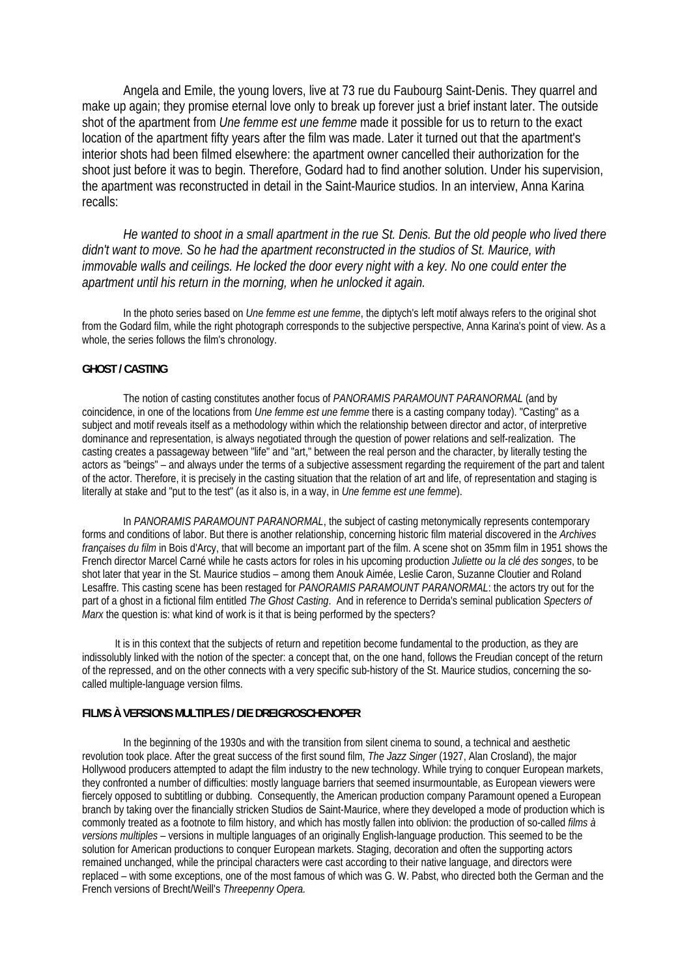Angela and Emile, the young lovers, live at 73 rue du Faubourg Saint-Denis. They quarrel and make up again; they promise eternal love only to break up forever just a brief instant later. The outside shot of the apartment from *Une femme est une femme* made it possible for us to return to the exact location of the apartment fifty years after the film was made. Later it turned out that the apartment's interior shots had been filmed elsewhere: the apartment owner cancelled their authorization for the shoot just before it was to begin. Therefore, Godard had to find another solution. Under his supervision, the apartment was reconstructed in detail in the Saint-Maurice studios. In an interview, Anna Karina recalls:

*He wanted to shoot in a small apartment in the rue St. Denis. But the old people who lived there didn't want to move. So he had the apartment reconstructed in the studios of St. Maurice, with immovable walls and ceilings. He locked the door every night with a key. No one could enter the apartment until his return in the morning, when he unlocked it again.* 

 In the photo series based on *Une femme est une femme*, the diptych's left motif always refers to the original shot from the Godard film, while the right photograph corresponds to the subjective perspective, Anna Karina's point of view. As a whole, the series follows the film's chronology.

#### **GHOST / CASTING**

 The notion of casting constitutes another focus of *PANORAMIS PARAMOUNT PARANORMAL* (and by coincidence, in one of the locations from *Une femme est une femme* there is a casting company today). "Casting" as a subject and motif reveals itself as a methodology within which the relationship between director and actor, of interpretive dominance and representation, is always negotiated through the question of power relations and self-realization. The casting creates a passageway between "life" and "art," between the real person and the character, by literally testing the actors as "beings" – and always under the terms of a subjective assessment regarding the requirement of the part and talent of the actor. Therefore, it is precisely in the casting situation that the relation of art and life, of representation and staging is literally at stake and "put to the test" (as it also is, in a way, in *Une femme est une femme*).

 In *PANORAMIS PARAMOUNT PARANORMAL*, the subject of casting metonymically represents contemporary forms and conditions of labor. But there is another relationship, concerning historic film material discovered in the *Archives françaises du film* in Bois d'Arcy, that will become an important part of the film. A scene shot on 35mm film in 1951 shows the French director Marcel Carné while he casts actors for roles in his upcoming production *Juliette ou la clé des songes*, to be shot later that year in the St. Maurice studios – among them Anouk Aimée, Leslie Caron, Suzanne Cloutier and Roland Lesaffre. This casting scene has been restaged for *PANORAMIS PARAMOUNT PARANORMAL*: the actors try out for the part of a ghost in a fictional film entitled *The Ghost Casting*. And in reference to Derrida's seminal publication *Specters of Marx* the question is: what kind of work is it that is being performed by the specters?

 It is in this context that the subjects of return and repetition become fundamental to the production, as they are indissolubly linked with the notion of the specter: a concept that, on the one hand, follows the Freudian concept of the return of the repressed, and on the other connects with a very specific sub-history of the St. Maurice studios, concerning the socalled multiple-language version films.

#### **FILMS À VERSIONS MULTIPLES / DIE DREIGROSCHENOPER**

 In the beginning of the 1930s and with the transition from silent cinema to sound, a technical and aesthetic revolution took place. After the great success of the first sound film, *The Jazz Singer* (1927, Alan Crosland), the major Hollywood producers attempted to adapt the film industry to the new technology. While trying to conquer European markets, they confronted a number of difficulties: mostly language barriers that seemed insurmountable, as European viewers were fiercely opposed to subtitling or dubbing. Consequently, the American production company Paramount opened a European branch by taking over the financially stricken Studios de Saint-Maurice, where they developed a mode of production which is commonly treated as a footnote to film history, and which has mostly fallen into oblivion: the production of so-called *films à versions multiples –* versions in multiple languages of an originally English-language production. This seemed to be the solution for American productions to conquer European markets. Staging, decoration and often the supporting actors remained unchanged, while the principal characters were cast according to their native language, and directors were replaced – with some exceptions, one of the most famous of which was G. W. Pabst, who directed both the German and the French versions of Brecht/Weill's *Threepenny Opera.*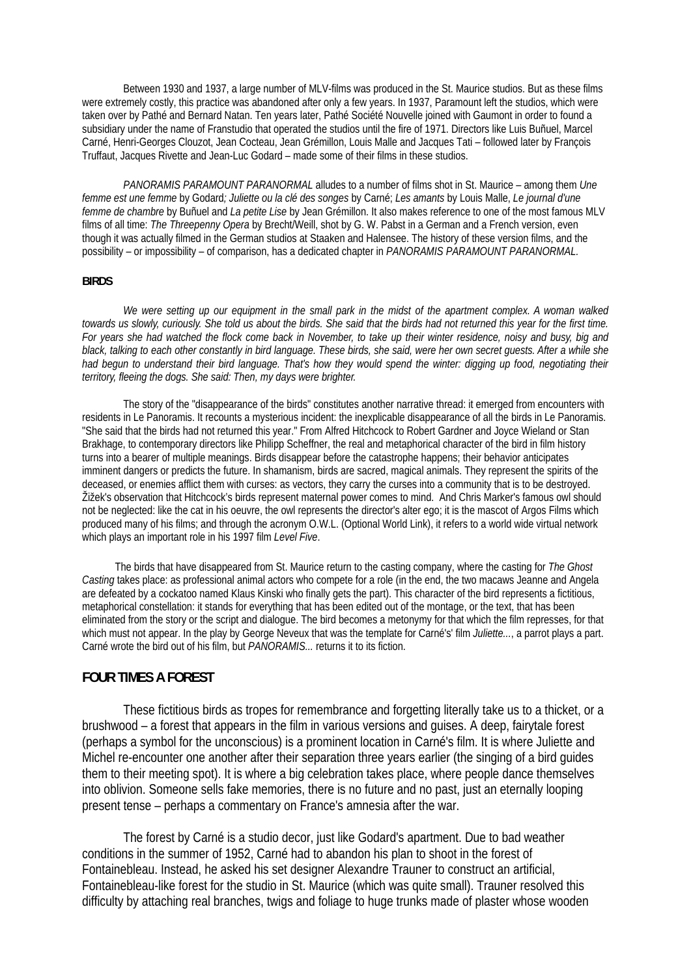Between 1930 and 1937, a large number of MLV-films was produced in the St. Maurice studios. But as these films were extremely costly, this practice was abandoned after only a few years. In 1937, Paramount left the studios, which were taken over by Pathé and Bernard Natan. Ten years later, Pathé Société Nouvelle joined with Gaumont in order to found a subsidiary under the name of Franstudio that operated the studios until the fire of 1971. Directors like Luis Buñuel, Marcel Carné, Henri-Georges Clouzot, Jean Cocteau, Jean Grémillon, Louis Malle and Jacques Tati – followed later by François Truffaut, Jacques Rivette and Jean-Luc Godard – made some of their films in these studios.

*PANORAMIS PARAMOUNT PARANORMAL* alludes to a number of films shot in St. Maurice – among them *Une femme est une femme* by Godard*; Juliette ou la clé des songes* by Carné; *Les amants* by Louis Malle, *Le journal d'une femme de chambre* by Buñuel and *La petite Lise* by Jean Grémillon. It also makes reference to one of the most famous MLV films of all time: *The Threepenny Opera* by Brecht/Weill, shot by G. W. Pabst in a German and a French version, even though it was actually filmed in the German studios at Staaken and Halensee. The history of these version films, and the possibility – or impossibility – of comparison, has a dedicated chapter in *PANORAMIS PARAMOUNT PARANORMAL.*

#### **BIRDS**

 *We were setting up our equipment in the small park in the midst of the apartment complex. A woman walked towards us slowly, curiously. She told us about the birds. She said that the birds had not returned this year for the first time. For years she had watched the flock come back in November, to take up their winter residence, noisy and busy, big and black, talking to each other constantly in bird language. These birds, she said, were her own secret guests. After a while she*  had begun to understand their bird language. That's how they would spend the winter: digging up food, negotiating their *territory, fleeing the dogs. She said: Then, my days were brighter.* 

The story of the "disappearance of the birds" constitutes another narrative thread: it emerged from encounters with residents in Le Panoramis. It recounts a mysterious incident: the inexplicable disappearance of all the birds in Le Panoramis. "She said that the birds had not returned this year." From Alfred Hitchcock to Robert Gardner and Joyce Wieland or Stan Brakhage, to contemporary directors like Philipp Scheffner, the real and metaphorical character of the bird in film history turns into a bearer of multiple meanings. Birds disappear before the catastrophe happens; their behavior anticipates imminent dangers or predicts the future. In shamanism, birds are sacred, magical animals. They represent the spirits of the deceased, or enemies afflict them with curses: as vectors, they carry the curses into a community that is to be destroyed. Žižek's observation that Hitchcock's birds represent maternal power comes to mind. And Chris Marker's famous owl should not be neglected: like the cat in his oeuvre, the owl represents the director's alter ego; it is the mascot of Argos Films which produced many of his films; and through the acronym O.W.L. (Optional World Link), it refers to a world wide virtual network which plays an important role in his 1997 film *Level Five*.

 The birds that have disappeared from St. Maurice return to the casting company, where the casting for *The Ghost Casting* takes place: as professional animal actors who compete for a role (in the end, the two macaws Jeanne and Angela are defeated by a cockatoo named Klaus Kinski who finally gets the part). This character of the bird represents a fictitious, metaphorical constellation: it stands for everything that has been edited out of the montage, or the text, that has been eliminated from the story or the script and dialogue. The bird becomes a metonymy for that which the film represses, for that which must not appear. In the play by George Neveux that was the template for Carné's' film *Juliette...*, a parrot plays a part. Carné wrote the bird out of his film, but *PANORAMIS...* returns it to its fiction.

### **FOUR TIMES A FOREST**

 These fictitious birds as tropes for remembrance and forgetting literally take us to a thicket, or a brushwood – a forest that appears in the film in various versions and guises. A deep, fairytale forest (perhaps a symbol for the unconscious) is a prominent location in Carné's film. It is where Juliette and Michel re-encounter one another after their separation three years earlier (the singing of a bird guides them to their meeting spot). It is where a big celebration takes place, where people dance themselves into oblivion. Someone sells fake memories, there is no future and no past, just an eternally looping present tense – perhaps a commentary on France's amnesia after the war.

 The forest by Carné is a studio decor, just like Godard's apartment. Due to bad weather conditions in the summer of 1952, Carné had to abandon his plan to shoot in the forest of Fontainebleau. Instead, he asked his set designer Alexandre Trauner to construct an artificial, Fontainebleau-like forest for the studio in St. Maurice (which was quite small). Trauner resolved this difficulty by attaching real branches, twigs and foliage to huge trunks made of plaster whose wooden